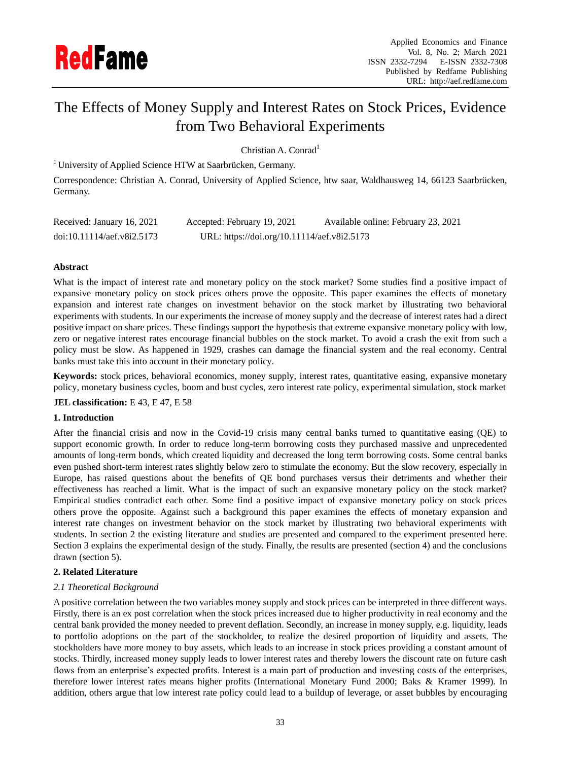

# The Effects of Money Supply and Interest Rates on Stock Prices, Evidence from Two Behavioral Experiments

Christian A. Conrad<sup>1</sup>

<sup>1</sup> University of Applied Science HTW at Saarbrücken, Germany.

Correspondence: Christian A. Conrad, University of Applied Science, htw saar, Waldhausweg 14, 66123 Saarbrücken, Germany.

| Received: January 16, 2021 | Accepted: February 19, 2021                 | Available online: February 23, 2021 |
|----------------------------|---------------------------------------------|-------------------------------------|
| doi:10.11114/aef.v8i2.5173 | URL: https://doi.org/10.11114/aef.v8i2.5173 |                                     |

# **Abstract**

What is the impact of interest rate and monetary policy on the stock market? Some studies find a positive impact of expansive monetary policy on stock prices others prove the opposite. This paper examines the effects of monetary expansion and interest rate changes on investment behavior on the stock market by illustrating two behavioral experiments with students. In our experiments the increase of money supply and the decrease of interest rates had a direct positive impact on share prices. These findings support the hypothesis that extreme expansive monetary policy with low, zero or negative interest rates encourage financial bubbles on the stock market*.* To avoid a crash the exit from such a policy must be slow. As happened in 1929, crashes can damage the financial system and the real economy. Central banks must take this into account in their monetary policy.

**Keywords:** stock prices, behavioral economics, money supply, interest rates, quantitative easing, expansive monetary policy, monetary business cycles, boom and bust cycles, zero interest rate policy, experimental simulation, stock market

# **JEL classification:** E 43, E 47, E 58

# **1. Introduction**

After the financial crisis and now in the Covid-19 crisis many central banks turned to quantitative easing (QE) to support economic growth. In order to reduce long-term borrowing costs they purchased massive and unprecedented amounts of long-term bonds, which created liquidity and decreased the long term borrowing costs. Some central banks even pushed short-term interest rates slightly below zero to stimulate the economy. But the slow recovery, especially in Europe, has raised questions about the benefits of QE bond purchases versus their detriments and whether their effectiveness has reached a limit. What is the impact of such an expansive monetary policy on the stock market? Empirical studies contradict each other. Some find a positive impact of expansive monetary policy on stock prices others prove the opposite. Against such a background this paper examines the effects of monetary expansion and interest rate changes on investment behavior on the stock market by illustrating two behavioral experiments with students. In section 2 the existing literature and studies are presented and compared to the experiment presented here. Section 3 explains the experimental design of the study. Finally, the results are presented (section 4) and the conclusions drawn (section 5).

# **2. Related Literature**

# *2.1 Theoretical Background*

A positive correlation between the two variables money supply and stock prices can be interpreted in three different ways. Firstly, there is an ex post correlation when the stock prices increased due to higher productivity in real economy and the central bank provided the money needed to prevent deflation. Secondly, an increase in money supply, e.g. liquidity, leads to portfolio adoptions on the part of the stockholder, to realize the desired proportion of liquidity and assets. The stockholders have more money to buy assets, which leads to an increase in stock prices providing a constant amount of stocks. Thirdly, increased money supply leads to lower interest rates and thereby lowers the discount rate on future cash flows from an enterprise's expected profits. Interest is a main part of production and investing costs of the enterprises, therefore lower interest rates means higher profits (International Monetary Fund 2000; Baks & Kramer 1999). In addition, others argue that low interest rate policy could lead to a buildup of leverage, or asset bubbles by encouraging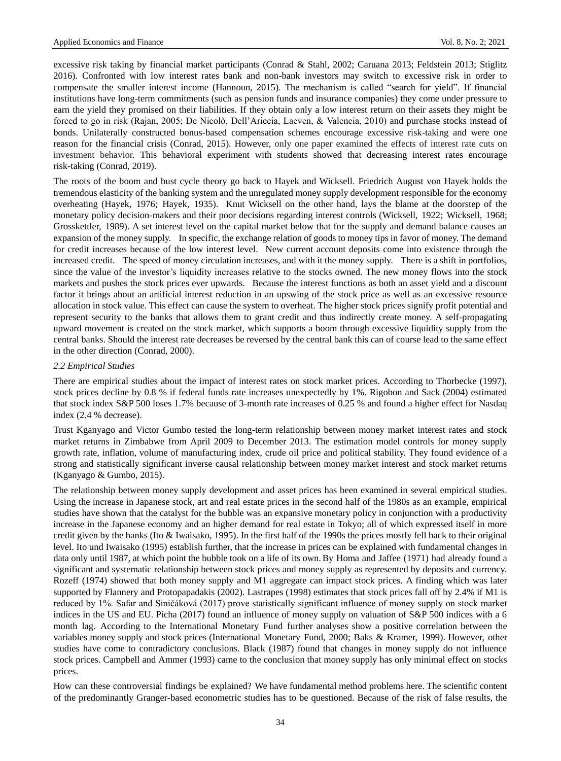excessive risk taking by financial market participants (Conrad & Stahl, 2002; Caruana 2013; Feldstein 2013; Stiglitz 2016). Confronted with low interest rates bank and non-bank investors may switch to excessive risk in order to compensate the smaller interest income (Hannoun, 2015). The mechanism is called "search for yield". If financial institutions have long-term commitments (such as pension funds and insurance companies) they come under pressure to earn the yield they promised on their liabilities. If they obtain only a low interest return on their assets they might be forced to go in risk (Rajan, 2005; De Nicolò, Dell'Ariccia, Laeven, & Valencia, 2010) and purchase stocks instead of bonds. Unilaterally constructed bonus-based compensation schemes encourage excessive risk-taking and were one reason for the financial crisis (Conrad, 2015). However, only one paper examined the effects of interest rate cuts on investment behavior. This behavioral experiment with students showed that decreasing interest rates encourage risk-taking (Conrad, 2019).

The roots of the boom and bust cycle theory go back to Hayek and Wicksell. Friedrich August von Hayek holds the tremendous elasticity of the banking system and the unregulated money supply development responsible for the economy overheating (Hayek, 1976; Hayek, 1935). Knut Wicksell on the other hand, lays the blame at the doorstep of the monetary policy decision-makers and their poor decisions regarding interest controls (Wicksell, 1922; Wicksell, 1968; Grosskettler, 1989). A set interest level on the capital market below that for the supply and demand balance causes an expansion of the money supply. In specific, the exchange relation of goods to money tips in favor of money. The demand for credit increases because of the low interest level. New current account deposits come into existence through the increased credit. The speed of money circulation increases, and with it the money supply. There is a shift in portfolios, since the value of the investor's liquidity increases relative to the stocks owned. The new money flows into the stock markets and pushes the stock prices ever upwards. Because the interest functions as both an asset yield and a discount factor it brings about an artificial interest reduction in an upswing of the stock price as well as an excessive resource allocation in stock value. This effect can cause the system to overheat. The higher stock prices signify profit potential and represent security to the banks that allows them to grant credit and thus indirectly create money. A self-propagating upward movement is created on the stock market, which supports a boom through excessive liquidity supply from the central banks. Should the interest rate decreases be reversed by the central bank this can of course lead to the same effect in the other direction (Conrad, 2000).

## *2.2 Empirical Studies*

There are empirical studies about the impact of interest rates on stock market prices. According to Thorbecke (1997), stock prices decline by 0.8 % if federal funds rate increases unexpectedly by 1%. Rigobon and Sack (2004) estimated that stock index S&P 500 loses 1.7% because of 3-month rate increases of 0.25 % and found a higher effect for Nasdaq index (2.4 % decrease).

Trust Kganyago and Victor Gumbo tested the long-term relationship between money market interest rates and stock market returns in Zimbabwe from April 2009 to December 2013. The estimation model controls for money supply growth rate, inflation, volume of manufacturing index, crude oil price and political stability. They found evidence of a strong and statistically significant inverse causal relationship between money market interest and stock market returns (Kganyago & Gumbo, 2015).

The relationship between money supply development and asset prices has been examined in several empirical studies. Using the increase in Japanese stock, art and real estate prices in the second half of the 1980s as an example, empirical studies have shown that the catalyst for the bubble was an expansive monetary policy in conjunction with a productivity increase in the Japanese economy and an higher demand for real estate in Tokyo; all of which expressed itself in more credit given by the banks (Ito & Iwaisako, 1995). In the first half of the 1990s the prices mostly fell back to their original level. Ito und Iwaisako (1995) establish further, that the increase in prices can be explained with fundamental changes in data only until 1987, at which point the bubble took on a life of its own.By Homa and Jaffee (1971) had already found a significant and systematic relationship between stock prices and money supply as represented by deposits and currency. Rozeff (1974) showed that both money supply and M1 aggregate can impact stock prices. A finding which was later supported by Flannery and Protopapadakis (2002). Lastrapes (1998) estimates that stock prices fall off by 2.4% if M1 is reduced by 1%. Safar and Siničáková (2017) prove statistically significant influence of money supply on stock market indices in the US and EU. P *f*cha (2017) found an influence of money supply on valuation of S&P 500 indices with a 6 month lag. According to the International Monetary Fund further analyses show a positive correlation between the variables money supply and stock prices (International Monetary Fund, 2000; Baks & Kramer, 1999). However, other studies have come to contradictory conclusions. Black (1987) found that changes in money supply do not influence stock prices. Campbell and Ammer (1993) came to the conclusion that money supply has only minimal effect on stocks prices.

How can these controversial findings be explained? We have fundamental method problems here. The scientific content of the predominantly Granger-based econometric studies has to be questioned. Because of the risk of false results, the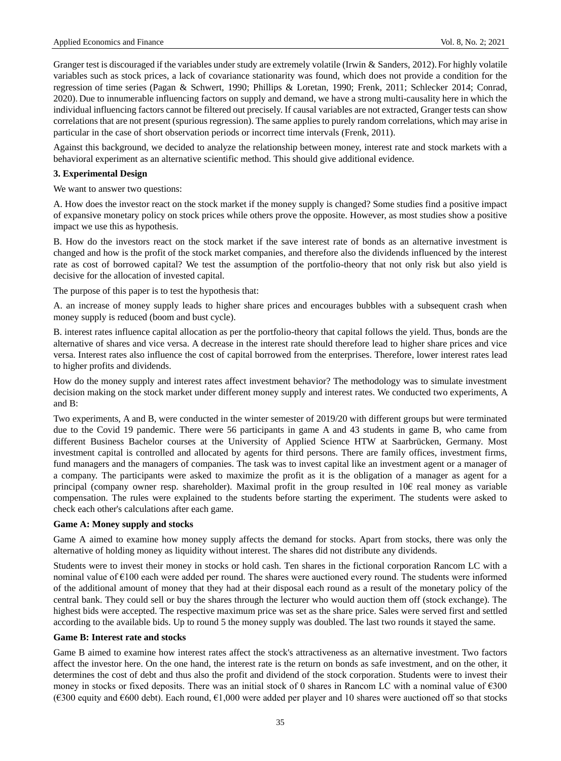Granger test is discouraged if the variables under study are extremely volatile (Irwin & Sanders, 2012). For highly volatile variables such as stock prices, a lack of covariance stationarity was found, which does not provide a condition for the regression of time series (Pagan & Schwert, 1990; Phillips & Loretan, 1990; Frenk, 2011; Schlecker 2014; Conrad, 2020). Due to innumerable influencing factors on supply and demand, we have a strong multi-causality here in which the individual influencing factors cannot be filtered out precisely. If causal variables are not extracted, Granger tests can show correlations that are not present (spurious regression). The same applies to purely random correlations, which may arise in particular in the case of short observation periods or incorrect time intervals (Frenk, 2011).

Against this background, we decided to analyze the relationship between money, interest rate and stock markets with a behavioral experiment as an alternative scientific method. This should give additional evidence.

# **3. Experimental Design**

We want to answer two questions:

A. How does the investor react on the stock market if the money supply is changed? Some studies find a positive impact of expansive monetary policy on stock prices while others prove the opposite. However, as most studies show a positive impact we use this as hypothesis.

B. How do the investors react on the stock market if the save interest rate of bonds as an alternative investment is changed and how is the profit of the stock market companies, and therefore also the dividends influenced by the interest rate as cost of borrowed capital? We test the assumption of the portfolio-theory that not only risk but also yield is decisive for the allocation of invested capital.

The purpose of this paper is to test the hypothesis that:

A. an increase of money supply leads to higher share prices and encourages bubbles with a subsequent crash when money supply is reduced (boom and bust cycle).

B. interest rates influence capital allocation as per the portfolio-theory that capital follows the yield. Thus, bonds are the alternative of shares and vice versa. A decrease in the interest rate should therefore lead to higher share prices and vice versa. Interest rates also influence the cost of capital borrowed from the enterprises. Therefore, lower interest rates lead to higher profits and dividends.

How do the money supply and interest rates affect investment behavior? The methodology was to simulate investment decision making on the stock market under different money supply and interest rates. We conducted two experiments, A and B:

Two experiments, A and B, were conducted in the winter semester of 2019/20 with different groups but were terminated due to the Covid 19 pandemic. There were 56 participants in game A and 43 students in game B, who came from different Business Bachelor courses at the University of Applied Science HTW at Saarbrücken, Germany. Most investment capital is controlled and allocated by agents for third persons. There are family offices, investment firms, fund managers and the managers of companies. The task was to invest capital like an investment agent or a manager of a company. The participants were asked to maximize the profit as it is the obligation of a manager as agent for a principal (company owner resp. shareholder). Maximal profit in the group resulted in 10€ real money as variable compensation. The rules were explained to the students before starting the experiment. The students were asked to check each other's calculations after each game.

# **Game A: Money supply and stocks**

Game A aimed to examine how money supply affects the demand for stocks. Apart from stocks, there was only the alternative of holding money as liquidity without interest. The shares did not distribute any dividends.

Students were to invest their money in stocks or hold cash. Ten shares in the fictional corporation Rancom LC with a nominal value of €100 each were added per round. The shares were auctioned every round. The students were informed of the additional amount of money that they had at their disposal each round as a result of the monetary policy of the central bank. They could sell or buy the shares through the lecturer who would auction them off (stock exchange). The highest bids were accepted. The respective maximum price was set as the share price. Sales were served first and settled according to the available bids. Up to round 5 the money supply was doubled. The last two rounds it stayed the same.

#### **Game B: Interest rate and stocks**

Game B aimed to examine how interest rates affect the stock's attractiveness as an alternative investment. Two factors affect the investor here. On the one hand, the interest rate is the return on bonds as safe investment, and on the other, it determines the cost of debt and thus also the profit and dividend of the stock corporation. Students were to invest their money in stocks or fixed deposits. There was an initial stock of 0 shares in Rancom LC with a nominal value of €300 (€300 equity and €600 debt). Each round, €1,000 were added per player and 10 shares were auctioned off so that stocks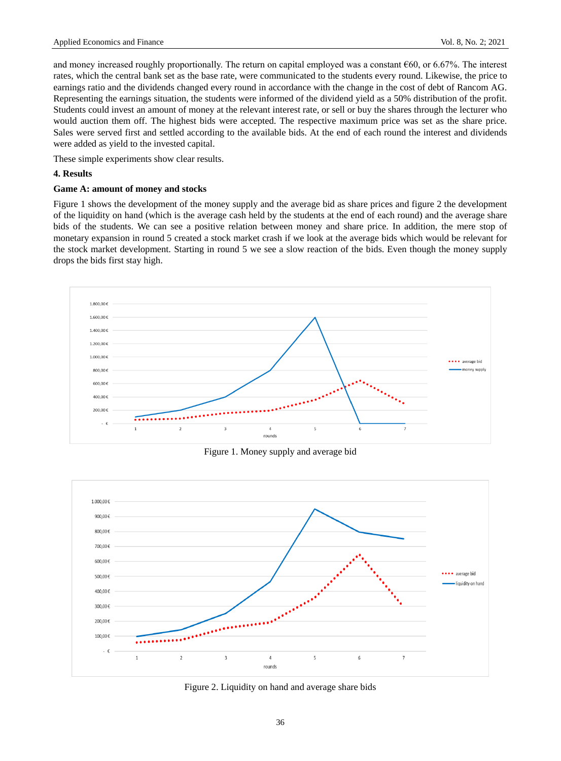and money increased roughly proportionally. The return on capital employed was a constant  $\epsilon$ 60, or 6.67%. The interest rates, which the central bank set as the base rate, were communicated to the students every round. Likewise, the price to earnings ratio and the dividends changed every round in accordance with the change in the cost of debt of Rancom AG. Representing the earnings situation, the students were informed of the dividend yield as a 50% distribution of the profit. Students could invest an amount of money at the relevant interest rate, or sell or buy the shares through the lecturer who would auction them off. The highest bids were accepted. The respective maximum price was set as the share price. Sales were served first and settled according to the available bids. At the end of each round the interest and dividends were added as yield to the invested capital.

These simple experiments show clear results.

## **4. Results**

#### **Game A: amount of money and stocks**

Figure 1 shows the development of the money supply and the average bid as share prices and figure 2 the development of the liquidity on hand (which is the average cash held by the students at the end of each round) and the average share bids of the students. We can see a positive relation between money and share price. In addition, the mere stop of monetary expansion in round 5 created a stock market crash if we look at the average bids which would be relevant for the stock market development. Starting in round 5 we see a slow reaction of the bids. Even though the money supply drops the bids first stay high.



Figure 1. Money supply and average bid



Figure 2. Liquidity on hand and average share bids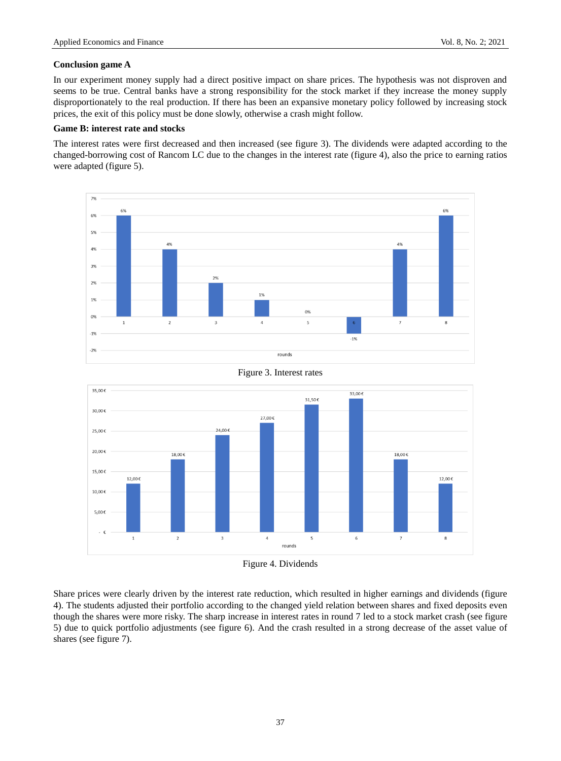# **Conclusion game A**

In our experiment money supply had a direct positive impact on share prices. The hypothesis was not disproven and seems to be true. Central banks have a strong responsibility for the stock market if they increase the money supply disproportionately to the real production. If there has been an expansive monetary policy followed by increasing stock prices, the exit of this policy must be done slowly, otherwise a crash might follow.

# **Game B: interest rate and stocks**

The interest rates were first decreased and then increased (see figure 3). The dividends were adapted according to the changed-borrowing cost of Rancom LC due to the changes in the interest rate (figure 4), also the price to earning ratios were adapted (figure 5).





Figure 3. Interest rates

Share prices were clearly driven by the interest rate reduction, which resulted in higher earnings and dividends (figure 4). The students adjusted their portfolio according to the changed yield relation between shares and fixed deposits even though the shares were more risky. The sharp increase in interest rates in round 7 led to a stock market crash (see figure 5) due to quick portfolio adjustments (see figure 6). And the crash resulted in a strong decrease of the asset value of shares (see figure 7).

Figure 4. Dividends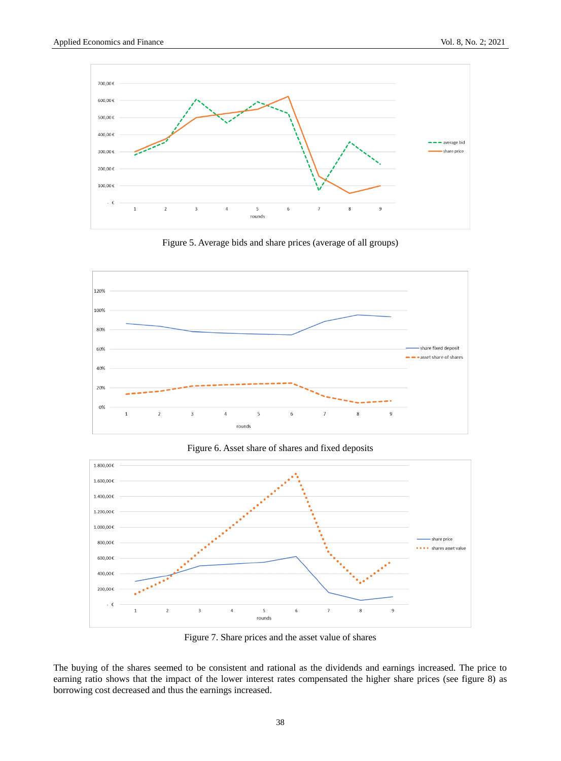

Figure 5. Average bids and share prices (average of all groups)







Figure 7. Share prices and the asset value of shares

The buying of the shares seemed to be consistent and rational as the dividends and earnings increased. The price to earning ratio shows that the impact of the lower interest rates compensated the higher share prices (see figure 8) as borrowing cost decreased and thus the earnings increased.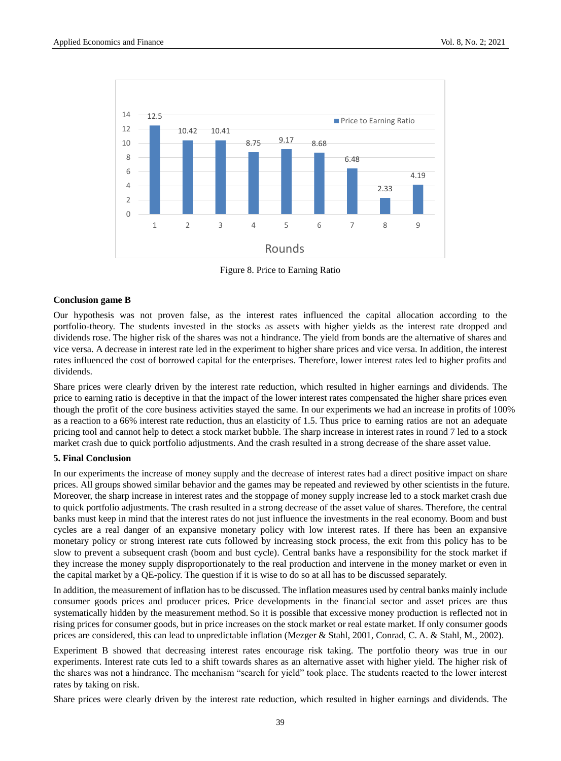

Figure 8. Price to Earning Ratio

# **Conclusion game B**

Our hypothesis was not proven false, as the interest rates influenced the capital allocation according to the portfolio-theory. The students invested in the stocks as assets with higher yields as the interest rate dropped and dividends rose. The higher risk of the shares was not a hindrance. The yield from bonds are the alternative of shares and vice versa. A decrease in interest rate led in the experiment to higher share prices and vice versa. In addition, the interest rates influenced the cost of borrowed capital for the enterprises. Therefore, lower interest rates led to higher profits and dividends.

Share prices were clearly driven by the interest rate reduction, which resulted in higher earnings and dividends. The price to earning ratio is deceptive in that the impact of the lower interest rates compensated the higher share prices even though the profit of the core business activities stayed the same. In our experiments we had an increase in profits of 100% as a reaction to a 66% interest rate reduction, thus an elasticity of 1.5. Thus price to earning ratios are not an adequate pricing tool and cannot help to detect a stock market bubble. The sharp increase in interest rates in round 7 led to a stock market crash due to quick portfolio adjustments. And the crash resulted in a strong decrease of the share asset value.

# **5. Final Conclusion**

In our experiments the increase of money supply and the decrease of interest rates had a direct positive impact on share prices. All groups showed similar behavior and the games may be repeated and reviewed by other scientists in the future. Moreover, the sharp increase in interest rates and the stoppage of money supply increase led to a stock market crash due to quick portfolio adjustments. The crash resulted in a strong decrease of the asset value of shares. Therefore, the central banks must keep in mind that the interest rates do not just influence the investments in the real economy. Boom and bust cycles are a real danger of an expansive monetary policy with low interest rates. If there has been an expansive monetary policy or strong interest rate cuts followed by increasing stock process, the exit from this policy has to be slow to prevent a subsequent crash (boom and bust cycle). Central banks have a responsibility for the stock market if they increase the money supply disproportionately to the real production and intervene in the money market or even in the capital market by a QE-policy. The question if it is wise to do so at all has to be discussed separately.

In addition, the measurement of inflation has to be discussed. The inflation measures used by central banks mainly include consumer goods prices and producer prices. Price developments in the financial sector and asset prices are thus systematically hidden by the measurement method. So it is possible that excessive money production is reflected not in rising prices for consumer goods, but in price increases on the stock market or real estate market. If only consumer goods prices are considered, this can lead to unpredictable inflation (Mezger & Stahl, 2001, Conrad, C. A. & Stahl, M., 2002).

Experiment B showed that decreasing interest rates encourage risk taking. The portfolio theory was true in our experiments. Interest rate cuts led to a shift towards shares as an alternative asset with higher yield. The higher risk of the shares was not a hindrance. The mechanism "search for yield" took place. The students reacted to the lower interest rates by taking on risk.

Share prices were clearly driven by the interest rate reduction, which resulted in higher earnings and dividends. The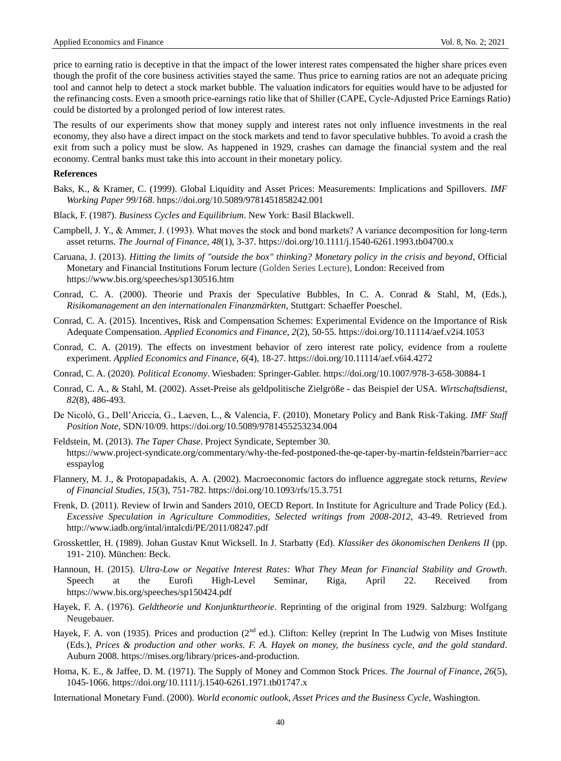price to earning ratio is deceptive in that the impact of the lower interest rates compensated the higher share prices even though the profit of the core business activities stayed the same. Thus price to earning ratios are not an adequate pricing tool and cannot help to detect a stock market bubble. The valuation indicators for equities would have to be adjusted for the refinancing costs. Even a smooth price-earnings ratio like that of Shiller (CAPE, Cycle-Adjusted Price Earnings Ratio) could be distorted by a prolonged period of low interest rates.

The results of our experiments show that money supply and interest rates not only influence investments in the real economy, they also have a direct impact on the stock markets and tend to favor speculative bubbles. To avoid a crash the exit from such a policy must be slow. As happened in 1929, crashes can damage the financial system and the real economy. Central banks must take this into account in their monetary policy.

#### **References**

- Baks, K., & Kramer, C. (1999). Global Liquidity and Asset Prices: Measurements: Implications and Spillovers. *IMF Working Paper 99/168*. https://doi.org/10.5089/9781451858242.001
- Black, F. (1987). *Business Cycles and Equilibrium*. New York: Basil Blackwell.
- Campbell, J. Y., & Ammer, J. (1993). What moves the stock and bond markets? A variance decomposition for long-term asset returns. *The Journal of Finance*, *48*(1), 3-37. https://doi.org/10.1111/j.1540-6261.1993.tb04700.x
- Caruana, J. (2013). *Hitting the limits of "outside the box" thinking? Monetary policy in the crisis and beyond*, Official Monetary and Financial Institutions Forum lecture (Golden Series Lecture), London: Received from https://www.bis.org/speeches/sp130516.htm
- Conrad, C. A. (2000). Theorie und Praxis der Speculative Bubbles, In C. A. Conrad & Stahl, M, (Eds.), *Risikomanagement an den internationalen Finanzmärkten*, Stuttgart: Schaeffer Poeschel.
- Conrad, C. A. (2015). Incentives, Risk and Compensation Schemes: Experimental Evidence on the Importance of Risk Adequate Compensation. *Applied Economics and Finance*, *2*(2), 50-55. https://doi.org/10.11114/aef.v2i4.1053
- Conrad, C. A. (2019). The effects on investment behavior of zero interest rate policy, evidence from a roulette experiment. *Applied Economics and Finance*, *6*(4), 18-27. https://doi.org/10.11114/aef.v6i4.4272
- Conrad, C. A. (2020). *Political Economy*. Wiesbaden: Springer-Gabler. https://doi.org/10.1007/978-3-658-30884-1
- Conrad, C. A., & Stahl, M. (2002). Asset-Preise als geldpolitische Zielgröße das Beispiel der USA. *Wirtschaftsdienst*, *82*(8), 486-493.
- De Nicolò, G., Dell'Ariccia, G., Laeven, L., & Valencia, F. (2010). Monetary Policy and Bank Risk-Taking. *IMF Staff Position Note*, SDN/10/09. https://doi.org/10.5089/9781455253234.004
- Feldstein, M. (2013). *The Taper Chase*. Project Syndicate, September 30. https://www.project-syndicate.org/commentary/why-the-fed-postponed-the-qe-taper-by-martin-feldstein?barrier=acc esspaylog
- Flannery, M. J., & Protopapadakis, A. A. (2002). Macroeconomic factors do influence aggregate stock returns, *Review of Financial Studies*, *15*(3), 751-782. https://doi.org/10.1093/rfs/15.3.751
- Frenk, D. (2011). Review of Irwin and Sanders 2010, OECD Report. In Institute for Agriculture and Trade Policy (Ed.). *Excessive Speculation in Agriculture Commodities, Selected writings from 2008-2012*, 43-49. Retrieved from <http://www.iadb.org/intal/intalcdi/PE/2011/08247.pdf>
- Grosskettler, H. (1989). Johan Gustav Knut Wicksell. In J. Starbatty (Ed). *Klassiker des ökonomischen Denkens II* (pp. 191- 210). München: Beck.
- Hannoun, H. (2015). *Ultra-Low or Negative Interest Rates: What They Mean for Financial Stability and Growth*. Speech at the Eurofi High-Level Seminar, Riga, April 22. Received from https://www.bis.org/speeches/sp150424.pdf
- Hayek, F. A. (1976). *Geldtheorie und Konjunkturtheorie*. Reprinting of the original from 1929. Salzburg: Wolfgang Neugebauer.
- Hayek, F. A. von (1935). Prices and production ( $2<sup>nd</sup>$  ed.). Clifton: Kelley (reprint In The Ludwig von Mises Institute (Eds.), *Prices & production and other works. F. A. Hayek on money, the business cycle, and the gold standard*. Auburn 2008. https://mises.org/library/prices-and-production.
- Homa, K. E., & Jaffee, D. M. (1971). The Supply of Money and Common Stock Prices. *The Journal of Finance, 26*(5), 1045-1066. https://doi.org/10.1111/j.1540-6261.1971.tb01747.x
- International Monetary Fund. (2000). *World economic outlook, Asset Prices and the Business Cycle*, Washington.